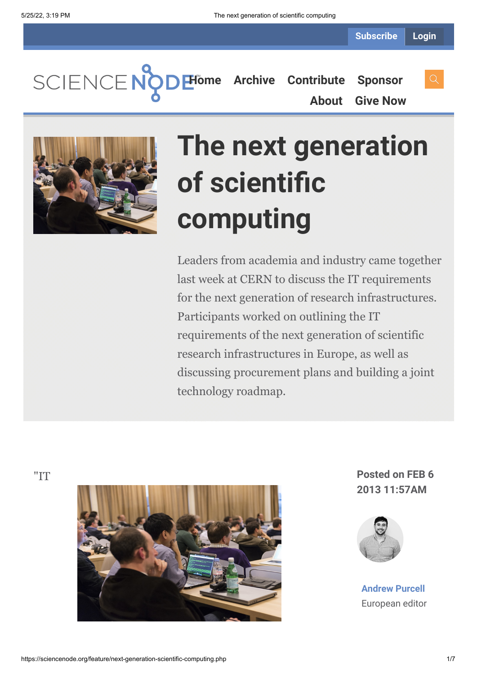**[Home](https://sciencenode.org/) [Archive](https://sciencenode.org/archive/index.php) [Contribute](https://sciencenode.org/contribute/index.php) [Sponsor](https://sciencenode.org/sponsor/index.php)**

**[About](https://sciencenode.org/about/index.php) [Give Now](https://sciencenode.org/donate/index.php)**



## **The next generation of scientific computing**

Leaders from academia and industry came together last week at CERN to discuss the IT requirements for the next generation of research infrastructures. Participants worked on outlining the IT requirements of the next generation of scientific research infrastructures in Europe, as well as discussing procurement plans and building a joint technology roadmap.



**2013 11:57AM**



**[Andrew Purcell](https://sciencenode.org/author/andrew-purcell.php)** European editor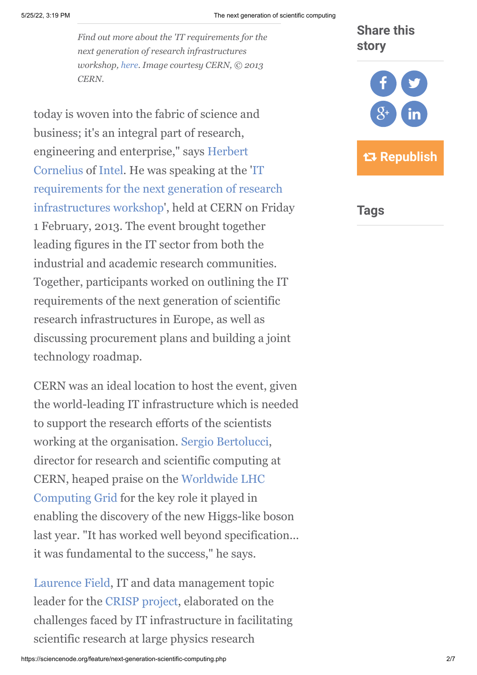*Find out more about the 'IT requirements for the next generation of research infrastructures workshop, [here](http://indico.cern.ch/conferenceDisplay.py?ovw=True&confId=212402). Image courtesy CERN, © 2013 CERN.*

today is woven into the fabric of science and business; it's an integral part of research, [engineering and enterprise," says Herbert](https://csc.web.cern.ch/CSC/2008/This_year_school/Lecturers2008/Lecturer_individual2008/Lecturer_Cornelius_with_bio_copy.htm) Cornelius of [Intel.](http://www.intel.com/) He was speaking at the 'IT requirements for the next generation of research [infrastructures workshop', held at CERN on Frid](http://indico.cern.ch/conferenceDisplay.py?ovw=True&confId=212402)ay 1 February, 2013. The event brought together leading figures in the IT sector from both the industrial and academic research communities. Together, participants worked on outlining the IT requirements of the next generation of scientific research infrastructures in Europe, as well as discussing procurement plans and building a joint technology roadmap.

CERN was an ideal location to host the event, given the world-leading IT infrastructure which is needed to support the research efforts of the scientists working at the organisation. [Sergio Bertolucci,](http://cds.cern.ch/record/1156861) director for research and scientific computing at [CERN, heaped praise on the Worldwide LHC](http://wlcg.web.cern.ch/) Computing Grid for the key role it played in enabling the discovery of the new Higgs-like boson last year. "It has worked well beyond specification... it was fundamental to the success," he says.

[Laurence Field,](http://gridtalk-project.blogspot.fr/2012/10/laurence-field-from-cern-tells-us-how.html) IT and data management topic leader for the [CRISP project](http://www.crisp-fp7.eu/), elaborated on the challenges faced by IT infrastructure in facilitating scientific research at large physics research

## **Share this story**



**Tags**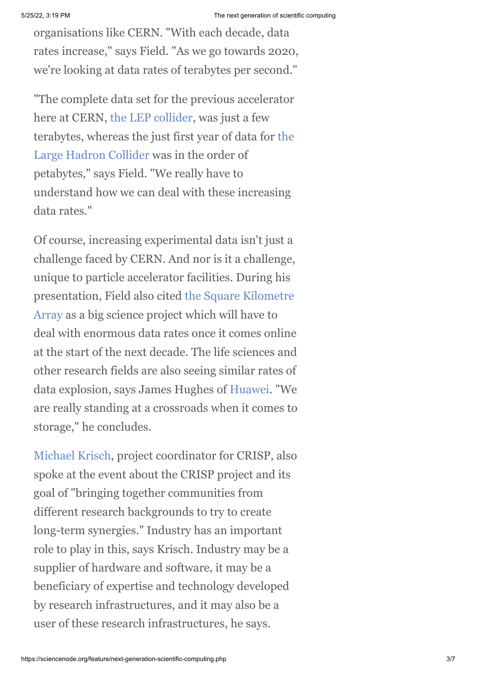organisations like CERN. "With each decade, data rates increase," says Field. "As we go towards 2020, we're looking at data rates of terabytes per second."

"The complete data set for the previous accelerator here at CERN, [the LEP collider,](http://public.web.cern.ch/public/en/research/lep-en.html) was just a few [terabytes, whereas the just first year of data for the](http://public.web.cern.ch/public/en/lhc/lhc-en.html) Large Hadron Collider was in the order of petabytes," says Field. "We really have to understand how we can deal with these increasing data rates."

Of course, increasing experimental data isn't just a challenge faced by CERN. And nor is it a challenge, unique to particle accelerator facilities. During his [presentation, Field also cited the Square Kilometre](http://www.skatelescope.org/) Array as a big science project which will have to deal with enormous data rates once it comes online at the start of the next decade. The life sciences and other research fields are also seeing similar rates of data explosion, says James Hughes of [Huawei.](http://www.huawei.com/en/) "We are really standing at a crossroads when it comes to storage," he concludes.

[Michael Krisch,](http://www.crisp-fp7.eu/contact/) project coordinator for CRISP, also spoke at the event about the CRISP project and its goal of "bringing together communities from different research backgrounds to try to create long-term synergies." Industry has an important role to play in this, says Krisch. Industry may be a supplier of hardware and software, it may be a beneficiary of expertise and technology developed by research infrastructures, and it may also be a user of these research infrastructures, he says.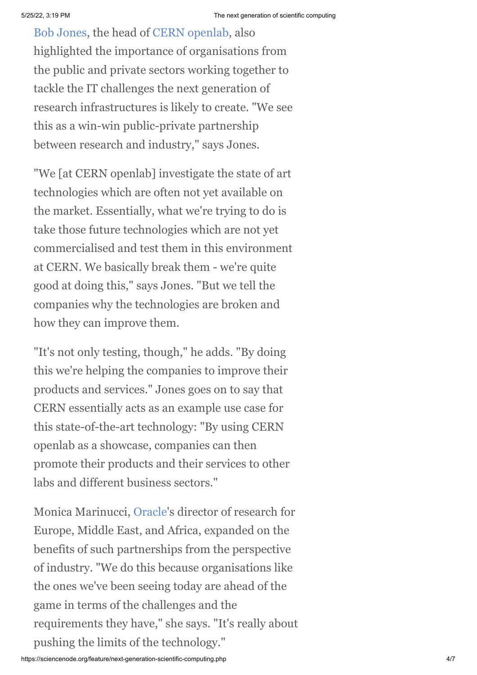[Bob Jones](http://openlab.web.cern.ch/about/people/bob-jones), the head of [CERN openlab,](http://openlab.web.cern.ch/about/people/bob-jones) also highlighted the importance of organisations from the public and private sectors working together to tackle the IT challenges the next generation of research infrastructures is likely to create. "We see this as a win-win public-private partnership between research and industry," says Jones.

"We [at CERN openlab] investigate the state of art technologies which are often not yet available on the market. Essentially, what we're trying to do is take those future technologies which are not yet commercialised and test them in this environment at CERN. We basically break them - we're quite good at doing this," says Jones. "But we tell the companies why the technologies are broken and how they can improve them.

"It's not only testing, though," he adds. "By doing this we're helping the companies to improve their products and services." Jones goes on to say that CERN essentially acts as an example use case for this state-of-the-art technology: "By using CERN openlab as a showcase, companies can then promote their products and their services to other labs and different business sectors."

Monica Marinucci, [Oracle](http://www.oracle.com/index.html)'s director of research for Europe, Middle East, and Africa, expanded on the benefits of such partnerships from the perspective of industry. "We do this because organisations like the ones we've been seeing today are ahead of the game in terms of the challenges and the requirements they have," she says. "It's really about pushing the limits of the technology."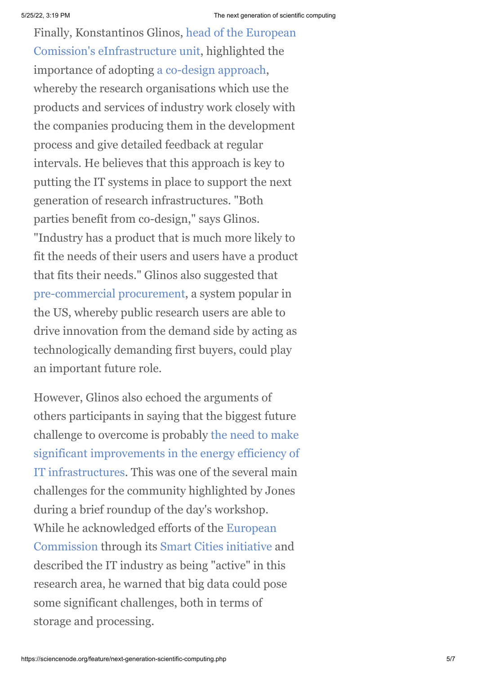[Finally, Konstantinos Glinos, head of the European](http://cordis.europa.eu/fp7/ict/e-infrastructure/) Comission's eInfrastructure unit, highlighted the importance of adopting [a co-design approach](http://en.wikipedia.org/wiki/Co-design), whereby the research organisations which use the products and services of industry work closely with the companies producing them in the development process and give detailed feedback at regular intervals. He believes that this approach is key to putting the IT systems in place to support the next generation of research infrastructures. "Both parties benefit from co-design," says Glinos. "Industry has a product that is much more likely to fit the needs of their users and users have a product that fits their needs." Glinos also suggested that [pre-commercial procurement](http://ec.europa.eu/information_society/tl/research/priv_invest/pcp/index_en.htm), a system popular in the US, whereby public research users are able to drive innovation from the demand side by acting as technologically demanding first buyers, could play an important future role.

However, Glinos also echoed the arguments of others participants in saying that the biggest future challenge to overcome is probably the need to make [significant improvements in the energy efficiency of](http://www.isgtw.org/feature/gaming-tech-key-green-hpc) IT infrastructures. This was one of the several main challenges for the community highlighted by Jones during a brief roundup of the day's workshop. [While he acknowledged efforts of the European](http://ec.europa.eu/index_en.htm) Commission through its [Smart Cities initiative](http://setis.ec.europa.eu/about-setis/technology-roadmap/european-initiative-on-smart-cities) and described the IT industry as being "active" in this research area, he warned that big data could pose some significant challenges, both in terms of storage and processing.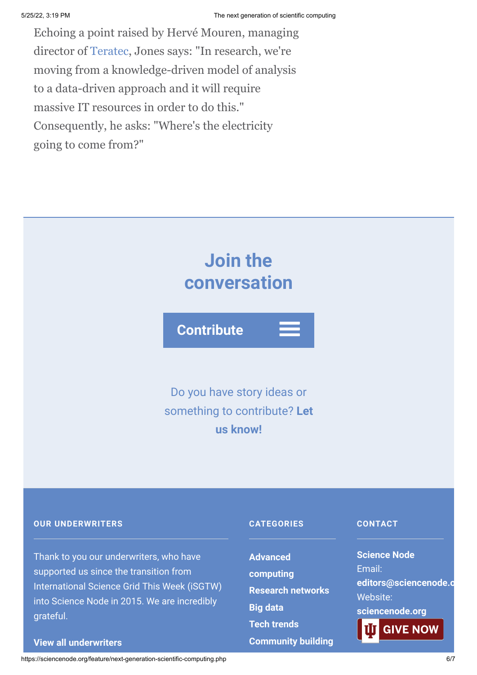Echoing a point raised by Hervé Mouren, managing director of [Teratec,](http://www.teratec.eu/) Jones says: "In research, we're moving from a knowledge-driven model of analysis to a data-driven approach and it will require massive IT resources in order to do this." Consequently, he asks: "Where's the electricity going to come from?"



supported us since the transition from International Science Grid This Week (iSGTW) into Science Node in 2015. We are incredibly grateful.

## **[View all underwriters](https://sciencenode.org/about/index.php)**

**[computing](https://sciencenode.org/archive/?year=2016&category=Advanced%20computing) [Research networks](https://sciencenode.org/archive/?year=2016&category=Advanced%20computing&category=Research%20networks) [Big data](https://sciencenode.org/archive/?year=2016&category=Advanced%20computing&category=Research%20networks&category=Big%20data) [Tech trends](https://sciencenode.org/archive/?year=2016&category=Advanced%20computing&category=Research%20networks&category=Big%20data&category=Tech%20trends) [Community building](https://sciencenode.org/archive/?year=2016&category=Advanced%20computing&category=Research%20networks&category=Big%20data&category=Tech%20trends&category=Community%20building)** Email: **[editors@sciencenode.o](mailto:edit%6F%72s@s%63%69encenode.%6F%72%67)** Website: **[sciencenode.org](https://sciencenode.org/) GIVE NOW** 

https://sciencenode.org/feature/next-generation-scientific-computing.php 6/7